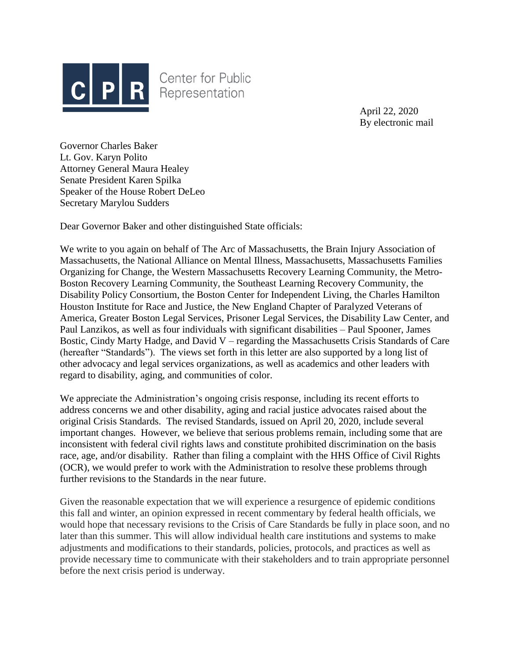

**Center for Public** Representation

> April 22, 2020 By electronic mail

Governor Charles Baker Lt. Gov. Karyn Polito Attorney General Maura Healey Senate President Karen Spilka Speaker of the House Robert DeLeo Secretary Marylou Sudders

Dear Governor Baker and other distinguished State officials:

We write to you again on behalf of The Arc of Massachusetts, the Brain Injury Association of Massachusetts, the National Alliance on Mental Illness, Massachusetts, Massachusetts Families Organizing for Change, the Western Massachusetts Recovery Learning Community, the Metro-Boston Recovery Learning Community, the Southeast Learning Recovery Community, the Disability Policy Consortium, the Boston Center for Independent Living, the Charles Hamilton Houston Institute for Race and Justice, the New England Chapter of Paralyzed Veterans of America, Greater Boston Legal Services, Prisoner Legal Services, the Disability Law Center, and Paul Lanzikos, as well as four individuals with significant disabilities – Paul Spooner, James Bostic, Cindy Marty Hadge, and David V – regarding the Massachusetts Crisis Standards of Care (hereafter "Standards"). The views set forth in this letter are also supported by a long list of other advocacy and legal services organizations, as well as academics and other leaders with regard to disability, aging, and communities of color.

We appreciate the Administration's ongoing crisis response, including its recent efforts to address concerns we and other disability, aging and racial justice advocates raised about the original Crisis Standards. The revised Standards, issued on April 20, 2020, include several important changes. However, we believe that serious problems remain, including some that are inconsistent with federal civil rights laws and constitute prohibited discrimination on the basis race, age, and/or disability. Rather than filing a complaint with the HHS Office of Civil Rights (OCR), we would prefer to work with the Administration to resolve these problems through further revisions to the Standards in the near future.

Given the reasonable expectation that we will experience a resurgence of epidemic conditions this fall and winter, an opinion expressed in recent commentary by federal health officials, we would hope that necessary revisions to the Crisis of Care Standards be fully in place soon, and no later than this summer. This will allow individual health care institutions and systems to make adjustments and modifications to their standards, policies, protocols, and practices as well as provide necessary time to communicate with their stakeholders and to train appropriate personnel before the next crisis period is underway.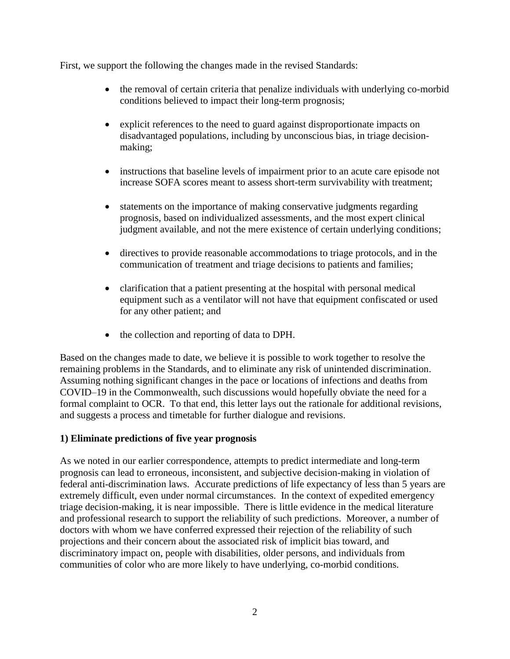First, we support the following the changes made in the revised Standards:

- the removal of certain criteria that penalize individuals with underlying co-morbid conditions believed to impact their long-term prognosis;
- explicit references to the need to guard against disproportionate impacts on disadvantaged populations, including by unconscious bias, in triage decisionmaking;
- instructions that baseline levels of impairment prior to an acute care episode not increase SOFA scores meant to assess short-term survivability with treatment;
- statements on the importance of making conservative judgments regarding prognosis, based on individualized assessments, and the most expert clinical judgment available, and not the mere existence of certain underlying conditions;
- directives to provide reasonable accommodations to triage protocols, and in the communication of treatment and triage decisions to patients and families;
- clarification that a patient presenting at the hospital with personal medical equipment such as a ventilator will not have that equipment confiscated or used for any other patient; and
- the collection and reporting of data to DPH.

Based on the changes made to date, we believe it is possible to work together to resolve the remaining problems in the Standards, and to eliminate any risk of unintended discrimination. Assuming nothing significant changes in the pace or locations of infections and deaths from COVID–19 in the Commonwealth, such discussions would hopefully obviate the need for a formal complaint to OCR. To that end, this letter lays out the rationale for additional revisions, and suggests a process and timetable for further dialogue and revisions.

## **1) Eliminate predictions of five year prognosis**

As we noted in our earlier correspondence, attempts to predict intermediate and long-term prognosis can lead to erroneous, inconsistent, and subjective decision-making in violation of federal anti-discrimination laws. Accurate predictions of life expectancy of less than 5 years are extremely difficult, even under normal circumstances. In the context of expedited emergency triage decision-making, it is near impossible. There is little evidence in the medical literature and professional research to support the reliability of such predictions. Moreover, a number of doctors with whom we have conferred expressed their rejection of the reliability of such projections and their concern about the associated risk of implicit bias toward, and discriminatory impact on, people with disabilities, older persons, and individuals from communities of color who are more likely to have underlying, co-morbid conditions.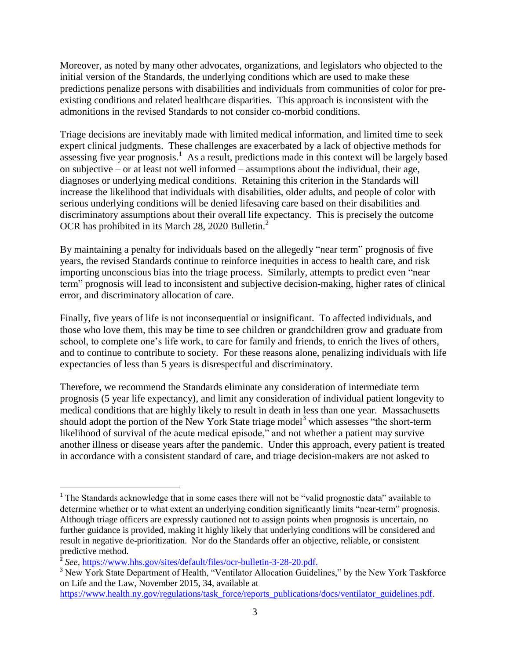Moreover, as noted by many other advocates, organizations, and legislators who objected to the initial version of the Standards, the underlying conditions which are used to make these predictions penalize persons with disabilities and individuals from communities of color for preexisting conditions and related healthcare disparities. This approach is inconsistent with the admonitions in the revised Standards to not consider co-morbid conditions.

Triage decisions are inevitably made with limited medical information, and limited time to seek expert clinical judgments. These challenges are exacerbated by a lack of objective methods for assessing five year prognosis.<sup>1</sup> As a result, predictions made in this context will be largely based on subjective – or at least not well informed – assumptions about the individual, their age, diagnoses or underlying medical conditions. Retaining this criterion in the Standards will increase the likelihood that individuals with disabilities, older adults, and people of color with serious underlying conditions will be denied lifesaving care based on their disabilities and discriminatory assumptions about their overall life expectancy. This is precisely the outcome OCR has prohibited in its March 28, 2020 Bulletin.<sup>2</sup>

By maintaining a penalty for individuals based on the allegedly "near term" prognosis of five years, the revised Standards continue to reinforce inequities in access to health care, and risk importing unconscious bias into the triage process. Similarly, attempts to predict even "near term" prognosis will lead to inconsistent and subjective decision-making, higher rates of clinical error, and discriminatory allocation of care.

Finally, five years of life is not inconsequential or insignificant. To affected individuals, and those who love them, this may be time to see children or grandchildren grow and graduate from school, to complete one's life work, to care for family and friends, to enrich the lives of others, and to continue to contribute to society. For these reasons alone, penalizing individuals with life expectancies of less than 5 years is disrespectful and discriminatory.

Therefore, we recommend the Standards eliminate any consideration of intermediate term prognosis (5 year life expectancy), and limit any consideration of individual patient longevity to medical conditions that are highly likely to result in death in less than one year. Massachusetts should adopt the portion of the New York State triage model<sup>3</sup> which assesses "the short-term" likelihood of survival of the acute medical episode," and not whether a patient may survive another illness or disease years after the pandemic. Under this approach, every patient is treated in accordance with a consistent standard of care, and triage decision-makers are not asked to

 $\overline{\phantom{a}}$ 

<sup>&</sup>lt;sup>1</sup> The Standards acknowledge that in some cases there will not be "valid prognostic data" available to determine whether or to what extent an underlying condition significantly limits "near-term" prognosis. Although triage officers are expressly cautioned not to assign points when prognosis is uncertain, no further guidance is provided, making it highly likely that underlying conditions will be considered and result in negative de-prioritization. Nor do the Standards offer an objective, reliable, or consistent predictive method.

<sup>&</sup>lt;sup>2</sup> See, [https://www.hhs.gov/sites/default/files/ocr-bulletin-3-28-20.pdf.](https://www.hhs.gov/sites/default/files/ocr-bulletin-3-28-20.pdf)

<sup>&</sup>lt;sup>3</sup> New York State Department of Health, "Ventilator Allocation Guidelines," by the New York Taskforce on Life and the Law, November 2015, 34, available at

[https://www.health.ny.gov/regulations/task\\_force/reports\\_publications/docs/ventilator\\_guidelines.pdf.](https://www.health.ny.gov/regulations/task_force/reports_publications/docs/ventilator_guidelines.pdf)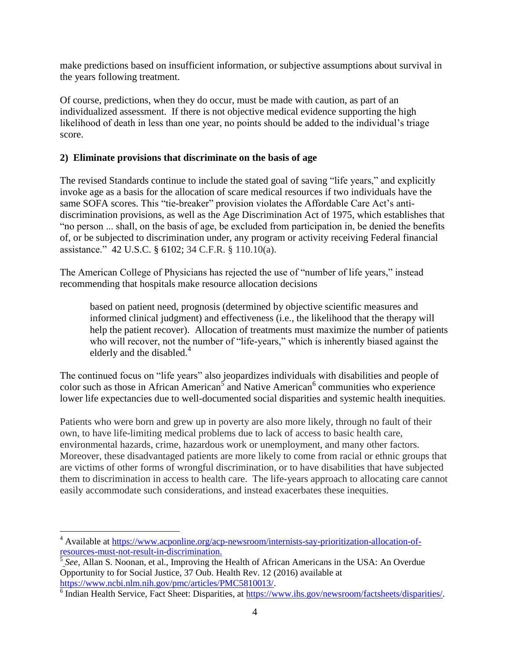make predictions based on insufficient information, or subjective assumptions about survival in the years following treatment.

Of course, predictions, when they do occur, must be made with caution, as part of an individualized assessment. If there is not objective medical evidence supporting the high likelihood of death in less than one year, no points should be added to the individual's triage score.

## **2) Eliminate provisions that discriminate on the basis of age**

The revised Standards continue to include the stated goal of saving "life years," and explicitly invoke age as a basis for the allocation of scare medical resources if two individuals have the same SOFA scores. This "tie-breaker" provision violates the Affordable Care Act's antidiscrimination provisions, as well as the Age Discrimination Act of 1975, which establishes that "no person ... shall, on the basis of age, be excluded from participation in, be denied the benefits of, or be subjected to discrimination under, any program or activity receiving Federal financial assistance." 42 U.S.C. § 6102; 34 C.F.R. § 110.10(a).

The American College of Physicians has rejected the use of "number of life years," instead recommending that hospitals make resource allocation decisions

based on patient need, prognosis (determined by objective scientific measures and informed clinical judgment) and effectiveness (i.e., the likelihood that the therapy will help the patient recover). Allocation of treatments must maximize the number of patients who will recover, not the number of "life-years," which is inherently biased against the elderly and the disabled.<sup>4</sup>

The continued focus on "life years" also jeopardizes individuals with disabilities and people of color such as those in African American<sup>5</sup> and Native American<sup>6</sup> communities who experience lower life expectancies due to well-documented social disparities and systemic health inequities.

Patients who were born and grew up in poverty are also more likely, through no fault of their own, to have life-limiting medical problems due to lack of access to basic health care, environmental hazards, crime, hazardous work or unemployment, and many other factors. Moreover, these disadvantaged patients are more likely to come from racial or ethnic groups that are victims of other forms of wrongful discrimination, or to have disabilities that have subjected them to discrimination in access to health care. The life-years approach to allocating care cannot easily accommodate such considerations, and instead exacerbates these inequities.

 $\overline{a}$ <sup>4</sup> Available at [https://www.acponline.org/acp-newsroom/internists-say-prioritization-allocation-of](https://www.acponline.org/acp-newsroom/internists-say-prioritization-allocation-of-resources-must-not-result-in-discrimination)[resources-must-not-result-in-discrimination.](https://www.acponline.org/acp-newsroom/internists-say-prioritization-allocation-of-resources-must-not-result-in-discrimination)

<sup>5</sup> *See,* [Allan S. Noonan, et al., Improving the Health of African Americans in the USA: An Overdue](file:///C:/Users/Bob.CPR/Downloads/See,%20Allan%20S.%20Noonan,%20et%20al.,%20Improving%20the%20Health%20of%20African%20Americans%20in%20the%20USA:%20An%20Overdue%20Opportunity%20to%20for%20Social%20Justice,%2037%20Oub.%20Health%20Rev.%2012%20(2016)%20available%20at%20https:/www.ncbi.nlm.nih.gov/pmc/articles/PMC5810013/)  [Opportunity to for Social Justice, 37 Oub. Health Rev. 12 \(2016\) available at](file:///C:/Users/Bob.CPR/Downloads/See,%20Allan%20S.%20Noonan,%20et%20al.,%20Improving%20the%20Health%20of%20African%20Americans%20in%20the%20USA:%20An%20Overdue%20Opportunity%20to%20for%20Social%20Justice,%2037%20Oub.%20Health%20Rev.%2012%20(2016)%20available%20at%20https:/www.ncbi.nlm.nih.gov/pmc/articles/PMC5810013/) [https://www.ncbi.nlm.nih.gov/pmc/articles/PMC5810013/.](file:///C:/Users/Bob.CPR/Downloads/See,%20Allan%20S.%20Noonan,%20et%20al.,%20Improving%20the%20Health%20of%20African%20Americans%20in%20the%20USA:%20An%20Overdue%20Opportunity%20to%20for%20Social%20Justice,%2037%20Oub.%20Health%20Rev.%2012%20(2016)%20available%20at%20https:/www.ncbi.nlm.nih.gov/pmc/articles/PMC5810013/)

<sup>&</sup>lt;sup>6</sup> Indian Health Service, Fact Sheet: Disparities, at [https://www.ihs.gov/newsroom/factsheets/disparities/.](https://www.ihs.gov/newsroom/factsheets/disparities/)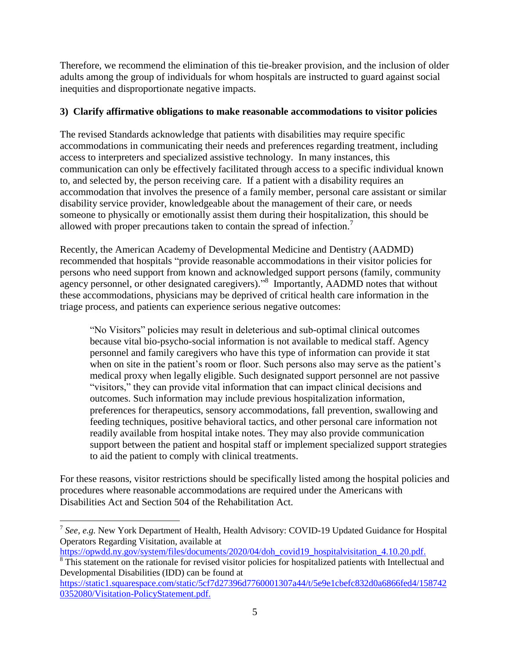Therefore, we recommend the elimination of this tie-breaker provision, and the inclusion of older adults among the group of individuals for whom hospitals are instructed to guard against social inequities and disproportionate negative impacts.

# **3) Clarify affirmative obligations to make reasonable accommodations to visitor policies**

The revised Standards acknowledge that patients with disabilities may require specific accommodations in communicating their needs and preferences regarding treatment, including access to interpreters and specialized assistive technology. In many instances, this communication can only be effectively facilitated through access to a specific individual known to, and selected by, the person receiving care. If a patient with a disability requires an accommodation that involves the presence of a family member, personal care assistant or similar disability service provider, knowledgeable about the management of their care, or needs someone to physically or emotionally assist them during their hospitalization, this should be allowed with proper precautions taken to contain the spread of infection.<sup>7</sup>

Recently, the American Academy of Developmental Medicine and Dentistry (AADMD) recommended that hospitals "provide reasonable accommodations in their visitor policies for persons who need support from known and acknowledged support persons (family, community agency personnel, or other designated caregivers)."<sup>8</sup> Importantly, AADMD notes that without these accommodations, physicians may be deprived of critical health care information in the triage process, and patients can experience serious negative outcomes:

"No Visitors" policies may result in deleterious and sub-optimal clinical outcomes because vital bio-psycho-social information is not available to medical staff. Agency personnel and family caregivers who have this type of information can provide it stat when on site in the patient's room or floor. Such persons also may serve as the patient's medical proxy when legally eligible. Such designated support personnel are not passive "visitors," they can provide vital information that can impact clinical decisions and outcomes. Such information may include previous hospitalization information, preferences for therapeutics, sensory accommodations, fall prevention, swallowing and feeding techniques, positive behavioral tactics, and other personal care information not readily available from hospital intake notes. They may also provide communication support between the patient and hospital staff or implement specialized support strategies to aid the patient to comply with clinical treatments.

For these reasons, visitor restrictions should be specifically listed among the hospital policies and procedures where reasonable accommodations are required under the Americans with Disabilities Act and Section 504 of the Rehabilitation Act.

[https://opwdd.ny.gov/system/files/documents/2020/04/doh\\_covid19\\_hospitalvisitation\\_4.10.20.pdf.](https://opwdd.ny.gov/system/files/documents/2020/04/doh_covid19_hospitalvisitation_4.10.20.pdf)

 $\overline{a}$ 

<sup>&</sup>lt;sup>7</sup> See, e.g. New York Department of Health, Health Advisory: COVID-19 Updated Guidance for Hospital Operators Regarding Visitation, available at

<sup>&</sup>lt;sup>8</sup>This statement on the rationale for revised visitor policies for hospitalized patients with Intellectual and Developmental Disabilities (IDD) can be found at

[https://static1.squarespace.com/static/5cf7d27396d7760001307a44/t/5e9e1cbefc832d0a6866fed4/158742](https://static1.squarespace.com/static/5cf7d27396d7760001307a44/t/5e9e1cbefc832d0a6866fed4/1587420352080/Visitation-PolicyStatement.pdf) [0352080/Visitation-PolicyStatement.pdf.](https://static1.squarespace.com/static/5cf7d27396d7760001307a44/t/5e9e1cbefc832d0a6866fed4/1587420352080/Visitation-PolicyStatement.pdf)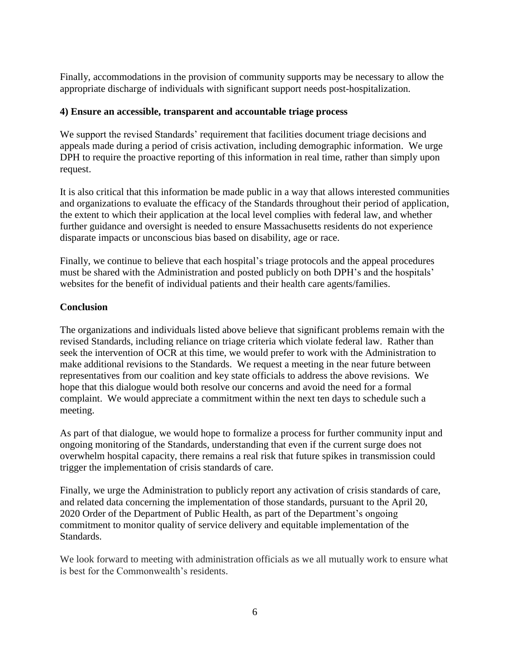Finally, accommodations in the provision of community supports may be necessary to allow the appropriate discharge of individuals with significant support needs post-hospitalization.

#### **4) Ensure an accessible, transparent and accountable triage process**

We support the revised Standards' requirement that facilities document triage decisions and appeals made during a period of crisis activation, including demographic information. We urge DPH to require the proactive reporting of this information in real time, rather than simply upon request.

It is also critical that this information be made public in a way that allows interested communities and organizations to evaluate the efficacy of the Standards throughout their period of application, the extent to which their application at the local level complies with federal law, and whether further guidance and oversight is needed to ensure Massachusetts residents do not experience disparate impacts or unconscious bias based on disability, age or race.

Finally, we continue to believe that each hospital's triage protocols and the appeal procedures must be shared with the Administration and posted publicly on both DPH's and the hospitals' websites for the benefit of individual patients and their health care agents/families.

### **Conclusion**

The organizations and individuals listed above believe that significant problems remain with the revised Standards, including reliance on triage criteria which violate federal law. Rather than seek the intervention of OCR at this time, we would prefer to work with the Administration to make additional revisions to the Standards. We request a meeting in the near future between representatives from our coalition and key state officials to address the above revisions. We hope that this dialogue would both resolve our concerns and avoid the need for a formal complaint. We would appreciate a commitment within the next ten days to schedule such a meeting.

As part of that dialogue, we would hope to formalize a process for further community input and ongoing monitoring of the Standards, understanding that even if the current surge does not overwhelm hospital capacity, there remains a real risk that future spikes in transmission could trigger the implementation of crisis standards of care.

Finally, we urge the Administration to publicly report any activation of crisis standards of care, and related data concerning the implementation of those standards, pursuant to the April 20, 2020 Order of the Department of Public Health, as part of the Department's ongoing commitment to monitor quality of service delivery and equitable implementation of the Standards.

We look forward to meeting with administration officials as we all mutually work to ensure what is best for the Commonwealth's residents.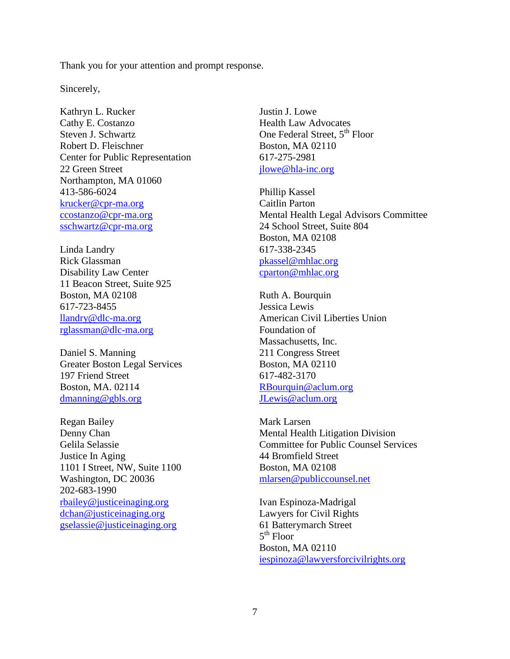Thank you for your attention and prompt response.

Sincerely,

Kathryn L. Rucker Cathy E. Costanzo Steven J. Schwartz Robert D. Fleischner Center for Public Representation 22 Green Street Northampton, MA 01060 413-586-6024 [krucker@cpr-ma.org](mailto:krucker@cpr-ma.org) [ccostanzo@cpr-ma.org](mailto:ccostanzo@cpr-ma.org) [sschwartz@cpr-ma.org](mailto:sschwartz@cpr-ma.org)

Linda Landry Rick Glassman Disability Law Center 11 Beacon Street, Suite 925 Boston, MA 02108 617-723-8455 [llandry@dlc-ma.org](mailto:llandry@dlc-ma.org) [rglassman@dlc-ma.org](mailto:rglassman@dlc-ma.org)

Daniel S. Manning Greater Boston Legal Services 197 Friend Street Boston, MA. 02114 [dmanning@gbls.org](mailto:dmanning@gbls.org)

Regan Bailey Denny Chan Gelila Selassie Justice In Aging 1101 I Street, NW, Suite 1100 Washington, DC 20036 202-683-1990 [rbailey@justiceinaging.org](mailto:rbailey@justiceinaging.org) [dchan@justiceinaging.org](mailto:dchan@justiceinaging.org) [gselassie@justiceinaging.org](mailto:gselassie@justiceinaging.org)

Justin J. Lowe Health Law Advocates One Federal Street, 5<sup>th</sup> Floor Boston, MA 02110 617-275-2981 [jlowe@hla-inc.org](mailto:jlowe@hla-inc.org)

Phillip Kassel Caitlin Parton Mental Health Legal Advisors Committee 24 School Street, Suite 804 Boston, MA 02108 617-338-2345 [pkassel@mhlac.org](mailto:pkassel@mhlac.org) [cparton@mhlac.org](mailto:cparton@mhlac.org)

Ruth A. Bourquin Jessica Lewis American Civil Liberties Union Foundation of Massachusetts, Inc. 211 Congress Street Boston, MA 02110 617-482-3170 [RBourquin@aclum.org](mailto:RBourquin@aclum.org) [JLewis@aclum.org](mailto:JLewis@aclum.org)

Mark Larsen Mental Health Litigation Division Committee for Public Counsel Services 44 Bromfield Street Boston, MA 02108 [mlarsen@publiccounsel.net](mailto:mlarsen@publiccounsel.net)

Ivan Espinoza-Madrigal Lawyers for Civil Rights 61 Batterymarch Street 5<sup>th</sup> Floor Boston, MA 02110 [iespinoza@lawyersforcivilrights.org](mailto:iespinoza@lawyersforcivilrights.org)